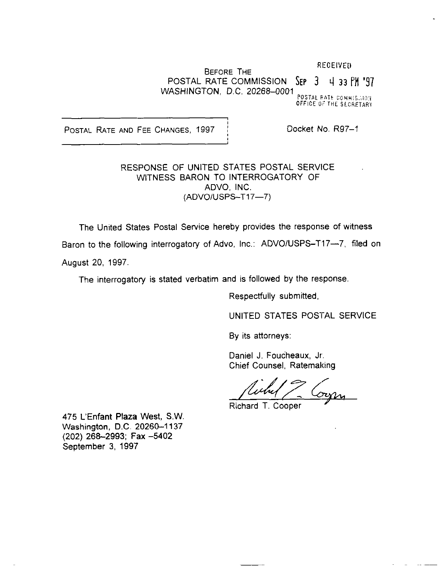#### **RECEIVED**

# BEFORE THE POSTAL RATE COMMISSION  $\text{Sep}$  3  $+$  33 PM '97 WASHINGTON, D.C. 20268-0001

POSTAL.RATE COMMIS.;10); OFFICE OF THE SLCRETARY

POSTAL RATE AND FEE CHANGES, 1997 | Docket No. R97-1

## RESPONSE OF UNITED STATES POSTAL SERVICE WITNESS BARON TO INTERROGATORY OF ADVO, INC. (ADVO/USPS-T17-7)

The United States Postal Service hereby provides the response of witness Baron to the following interrogatory of Advo, Inc.: ADVO/USPS-T17--7, filed on

August 20, 1997.

The interrogatory is stated verbatim and is followed by the response.

Respectfully submitted,

UNITED STATES POSTAL SERVICE

By its attorneys:

Daniel J. Foucheaux, Jr. Chief Counsel, Ratemaking

Richard T. Cooper

475 L'Enfant Plaza West, SW. Washington, D.C. 20260-1137 (202) 266-2993; Fax -5402 September 3, 1997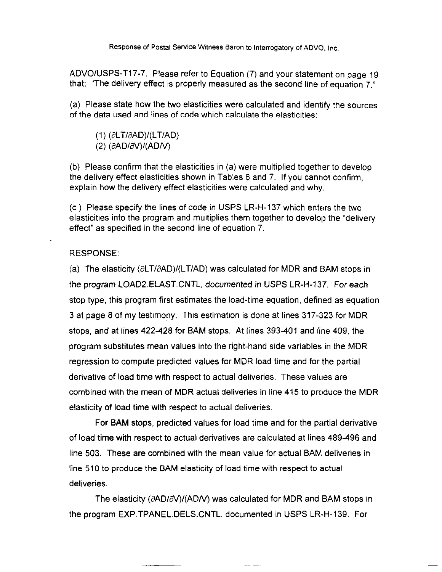ADVOIUSPS-T17-7. Please refer to Equation (7) and your statement on page 19 that: "The delivery effect is properly measured as the second line of equation 7."

(a) Please state how the two elasticities were calculated and identify the sources of the data used and lines of code which calculate the elasticities:

 $(1)$  ( $\partial$ LT/ $\partial$ AD)/(LT/AD)  $(2)$  ( $\partial$ AD/ $\partial$ V)/(AD/V)

(b) Please confirm that the elasticities in (a) were multiplied together to develop the delivery effect elasticities shown in Tables 6 and 7. If you cannot confirm, explain how the delivery effect elasticities were calculated and why.

(c ) Please specify the lines of code in USPS LR-H-137 which enters the two elasticities into the program and multiplies them together to develop the "delivery effect" as specified in the second line of equation 7.

### RESPONSE:

(a) The elasticity  $(\partial LT/\partial AD)/(LT/AD)$  was calculated for MDR and BAM stops in the program lOAD2.ElAST.CNTL. documented in USPS LR-H-137. For each stop type, this program first estimates the load-time equation, defined as equation 3 at page 6 of my testimony. This estimation is done at lines 317-323 for MDR stops, and at lines 422-428 for BAM stops. At lines 393-401 and line 409, the program substitutes mean values into the right-hand side variables in the MDR regression to compute predicted values for MDR load time and for the partial derivative of load time with respect to actual deliveries. These values are combined with the mean of MDR actual deliveries in line 415 to produce the MDR elasticity of load time with respect to actual deliveries.

For BAM stops, predicted values for load time and for the partial derivative of load time with respect to actual derivatives are calculated at lines 489496 and line 503. These are combined with the mean value for actual BAM, deliveries in line 510 to produce the BAM elasticity of load time with respect to actual deliveries.

The elasticity ( $\partial$ ADI $\partial$ V)/(ADIV) was calculated for MDR and BAM stops in the program EXP.TPANEL.DELS.CNTL, documented in USPS LR-H-139. For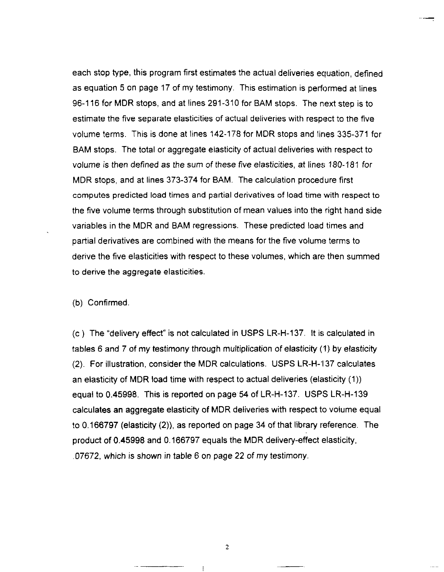each stop type, this program first estimates the actual deliveries equation, defined as equation 5 on page 17 of my testimony. This estimation is performed at lines 96-l 16 for MDR stops, and at lines 291-310 for BAM stops. The next step is to estimate the five separate elasticities of actual deliveries with respect to the five volume terms. This is done at lines 142-178 for MDR stops and lines 335-371 for BAM stops. The total or aggregate elasticity of actual deliveries with respect to volume is then defined as the sum of these five elasticities, at lines 180-181 for MDR stops, and at lines 373-374 for BAM. The calculation procedure first computes predicted load times and partial derivatives of load time with respect to the five volume terms through substitution of mean values into the right hand side variables in the MDR and BAM regressions. These predicted load times and partial derivatives are combined with the means for the five volume terms to derive the five elasticities with respect to these volumes, which are then summed to derive the aggregate elasticities.

(b) Confirmed

(c ) The "delivery effect" is not calculated in USPS LR-H-137. It is calculated in tables 6 and 7 of my testimony through multiplication of elasticity (1) by elasticity (2). For illustration, consider the MDR calculations. USPS LR-H-l37 calculates an elasticity of MDR load time with respect to actual deliveries (elasticity (1)) equal to 0.45998. This is reported on page 54 of LR-H-137. USPS LR-H-139 calculates an aggregate elasticity of MDR deliveries with respect to volume equal to 0.166797 (elasticity (2)), as reported on page 34 of that library reference. The product of 0.45998 and 0.166797 equals the MDR delivery-effect elasticity, .07672, which is shown in table 6 on page 22 of my testimony.

2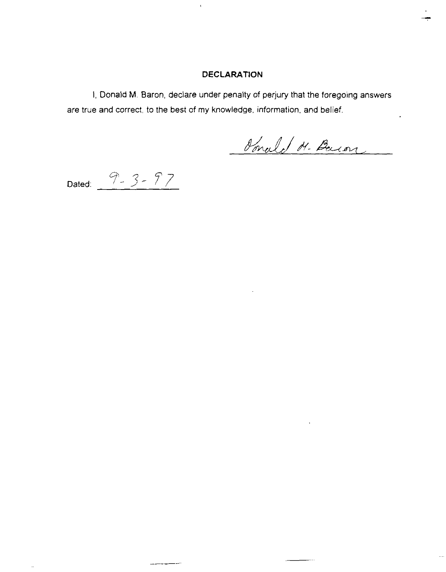## DECLARATION

 $\bar{\ell}$ 

I, Donald M. Baron, declare under penalty of perjury that the foregoing answers are true and correct, to the best of my knowledge, information, and belief.

Sonald H. Bacon

Dated:  $9 - 3 - 97$ 

---

...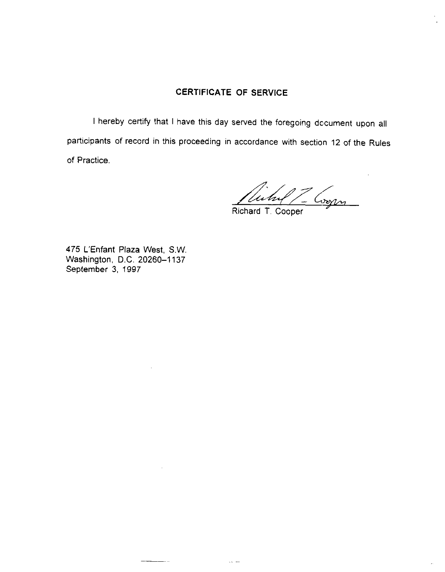# CERTIFICATE OF SERVICE

I hereby certify that I have this day served the foregoing dccument upon all participants of record in this proceeding in accordance with section 12 of the Rules of Practice.

 $Z$  Corpor

Richard T. Cooper

475 L'Enfant Plaza West, SW. Washington, D.C. 20260-1137 September 3, 1997

 $-$ 

 $\bar{\omega}$  and  $\bar{\omega}$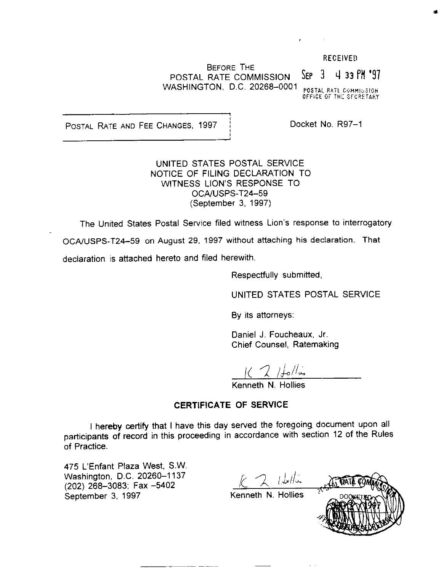#### RECEIVEU

BEFORE THE POSTAL RATE COMMISSION SEP  $3 \times 4$  33 PM '97 WASHINGTON, D.C. 20268-0001

POSTAL RATE COMMISSION<br>OFFICE OF THE SFCRETARY

POSTAL RATE AND FEE CHANGES, 1997 | Docket No. R97-1

UNITED STATES POSTAL SERVICE NOTICE OF FILING DECLARATION TO WITNESS LION'S RESPONSE TO OCA/USPS-T24-59 (September 3, 1997)

The United States Postal Service filed witness Lion's response to interrogatory

OCA/USPS-T24-59 on August 29, 1997 without attaching his declaration. That

declaration is attached hereto and filed herewith.

Respectfully submitted,

UNITED STATES POSTAL SERVICE

By its attorneys:

Daniel J. Foucheaux, Jr. Chief Counsel, Ratemaking

 $KZ$  /follos

Kenneth N. Hollies

### CERTIFICATE OF SERVICE

I hereby certify that I have this day served the foregoing document upon all participants of record in this proceeding in accordance with section 12 of the Rules of Practice.

475 L'Enfant Plaza West, S.W. Washington, D.C. 20260-1137 (202) 268-3083; Fax -5402 September 3, 1997

 $2$  16/16

Kenneth N. Hollies